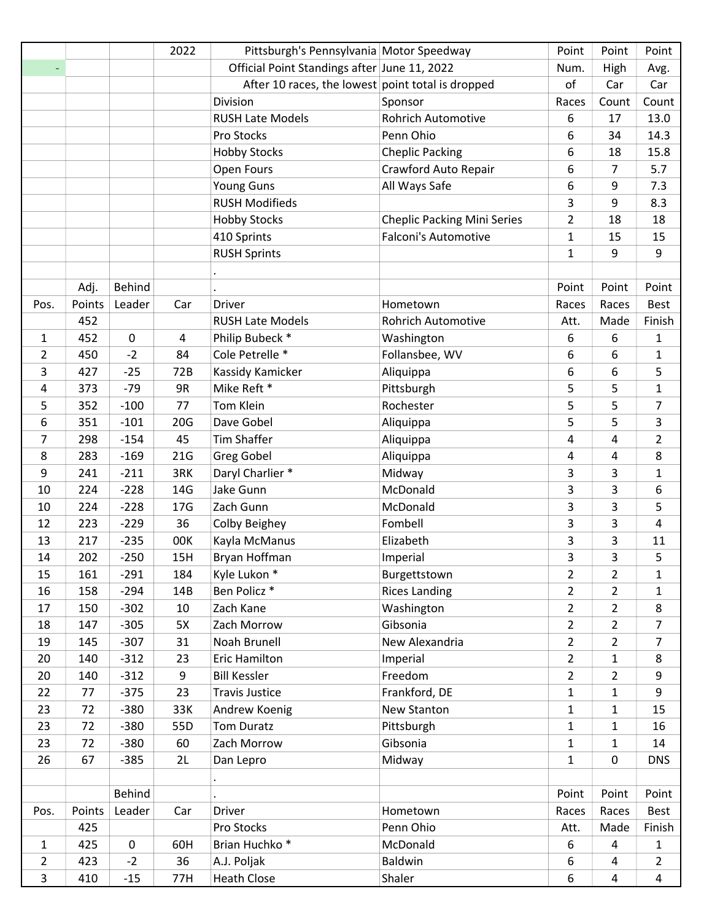|                |        |               | 2022            | Pittsburgh's Pennsylvania Motor Speedway          |                                    | Point          | Point          | Point          |
|----------------|--------|---------------|-----------------|---------------------------------------------------|------------------------------------|----------------|----------------|----------------|
|                |        |               |                 | Official Point Standings after June 11, 2022      |                                    | Num.           | High           | Avg.           |
|                |        |               |                 | After 10 races, the lowest point total is dropped |                                    | of             | Car            | Car            |
|                |        |               |                 | Division                                          | Sponsor                            | Races          | Count          | Count          |
|                |        |               |                 | <b>RUSH Late Models</b>                           | <b>Rohrich Automotive</b>          | 6              | 17             | 13.0           |
|                |        |               |                 | Pro Stocks                                        | Penn Ohio                          | 6              | 34             | 14.3           |
|                |        |               |                 | <b>Hobby Stocks</b>                               | <b>Cheplic Packing</b>             | 6              | 18             | 15.8           |
|                |        |               |                 | Open Fours                                        | Crawford Auto Repair               | 6              | 7              | 5.7            |
|                |        |               |                 | <b>Young Guns</b>                                 | All Ways Safe                      | 6              | 9              | 7.3            |
|                |        |               |                 | <b>RUSH Modifieds</b>                             |                                    | 3              | 9              | 8.3            |
|                |        |               |                 | <b>Hobby Stocks</b>                               | <b>Cheplic Packing Mini Series</b> | $\overline{2}$ | 18             | 18             |
|                |        |               |                 | 410 Sprints                                       | <b>Falconi's Automotive</b>        | $\mathbf{1}$   | 15             | 15             |
|                |        |               |                 | <b>RUSH Sprints</b>                               |                                    | $\mathbf{1}$   | 9              | 9              |
|                |        |               |                 |                                                   |                                    |                |                |                |
|                | Adj.   | Behind        |                 |                                                   |                                    | Point          | Point          | Point          |
| Pos.           | Points | Leader        | Car             | Driver                                            | Hometown                           | Races          | Races          | <b>Best</b>    |
|                | 452    |               |                 | <b>RUSH Late Models</b>                           | <b>Rohrich Automotive</b>          | Att.           | Made           | Finish         |
| 1              | 452    | $\pmb{0}$     | 4               | Philip Bubeck *                                   | Washington                         | 6              | 6              | $\mathbf{1}$   |
| 2              | 450    | $-2$          | 84              | Cole Petrelle *                                   | Follansbee, WV                     | 6              | 6              | $\mathbf{1}$   |
| 3              | 427    | $-25$         | 72B             | Kassidy Kamicker                                  | Aliquippa                          | 6              | 6              | 5              |
| 4              | 373    | $-79$         | 9R              | Mike Reft *                                       | Pittsburgh                         | 5              | 5              | $\mathbf{1}$   |
| 5              | 352    | $-100$        | 77              | Tom Klein                                         | Rochester                          | 5              | 5              | $\overline{7}$ |
| 6              | 351    | $-101$        | 20G             | Dave Gobel                                        | Aliquippa                          | 5              | 5              | 3              |
| 7              | 298    | $-154$        | 45              | <b>Tim Shaffer</b>                                | Aliquippa                          | 4              | $\overline{4}$ | $\overline{2}$ |
| 8              | 283    | $-169$        | 21G             | <b>Greg Gobel</b>                                 | Aliquippa                          | 4              | 4              | 8              |
| 9              | 241    | $-211$        | 3RK             | Daryl Charlier *                                  | Midway                             | 3              | 3              | $\mathbf{1}$   |
| 10             | 224    | $-228$        | 14G             | Jake Gunn                                         | McDonald                           | 3              | 3              | 6              |
| 10             | 224    | $-228$        | 17 <sub>G</sub> | Zach Gunn                                         | McDonald                           | 3              | 3              | 5              |
| 12             | 223    | $-229$        | 36              | Colby Beighey                                     | Fombell                            | 3              | 3              | $\pmb{4}$      |
| 13             | 217    | $-235$        | 00K             | Kayla McManus                                     | Elizabeth                          | 3              | 3              | 11             |
| 14             | 202    | $-250$        | 15H             | Bryan Hoffman                                     | Imperial                           | 3              | 3              | 5              |
| 15             | 161    | $-291$        | 184             | Kyle Lukon *                                      | Burgettstown                       | $\overline{2}$ | $\overline{2}$ | $\mathbf{1}$   |
| 16             | 158    | $-294$        | 14B             | Ben Policz *                                      | <b>Rices Landing</b>               | $\overline{2}$ | $\overline{2}$ | $\mathbf{1}$   |
| 17             | 150    | $-302$        | 10              | Zach Kane                                         | Washington                         | $\overline{2}$ | $\overline{2}$ | 8              |
| 18             | 147    | $-305$        | 5X              | Zach Morrow                                       | Gibsonia                           | $\overline{2}$ | $\overline{2}$ | $\overline{7}$ |
| 19             | 145    | $-307$        | 31              | Noah Brunell                                      | New Alexandria                     | $\overline{2}$ | $\overline{2}$ | $\overline{7}$ |
| 20             | 140    | $-312$        | 23              | Eric Hamilton                                     | Imperial                           | $\overline{2}$ | $\mathbf{1}$   | 8              |
| 20             | 140    | $-312$        | 9               | <b>Bill Kessler</b>                               | Freedom                            | $\overline{2}$ | $\overline{2}$ | 9              |
| 22             | 77     | $-375$        | 23              | <b>Travis Justice</b>                             | Frankford, DE                      | $\mathbf{1}$   | $\mathbf{1}$   | 9              |
| 23             | 72     | $-380$        | 33K             | Andrew Koenig                                     | New Stanton                        | $\mathbf{1}$   | $\mathbf{1}$   | 15             |
| 23             | 72     | $-380$        | 55D             | <b>Tom Duratz</b>                                 | Pittsburgh                         | $\mathbf{1}$   | $\mathbf{1}$   | 16             |
| 23             | 72     | $-380$        | 60              | Zach Morrow                                       | Gibsonia                           | $\mathbf{1}$   | $\mathbf{1}$   | 14             |
| 26             | 67     | $-385$        | 2L              | Dan Lepro                                         | Midway                             | $\mathbf{1}$   | $\pmb{0}$      | <b>DNS</b>     |
|                |        |               |                 |                                                   |                                    |                |                |                |
|                |        | <b>Behind</b> |                 |                                                   |                                    | Point          | Point          | Point          |
| Pos.           | Points | Leader        | Car             | <b>Driver</b>                                     | Hometown                           | Races          | Races          | Best           |
|                | 425    |               |                 | Pro Stocks                                        | Penn Ohio                          | Att.           | Made           | Finish         |
| $\mathbf{1}$   | 425    | $\mathbf 0$   | 60H             | Brian Huchko <sup>*</sup>                         | McDonald                           | 6              | 4              | $\mathbf{1}$   |
| $\overline{2}$ | 423    | $-2$          | 36              | A.J. Poljak                                       | Baldwin                            | 6              | 4              | $\overline{2}$ |
| 3              | 410    | $-15$         | 77H             | <b>Heath Close</b>                                | Shaler                             | 6              | $\overline{4}$ | $\overline{4}$ |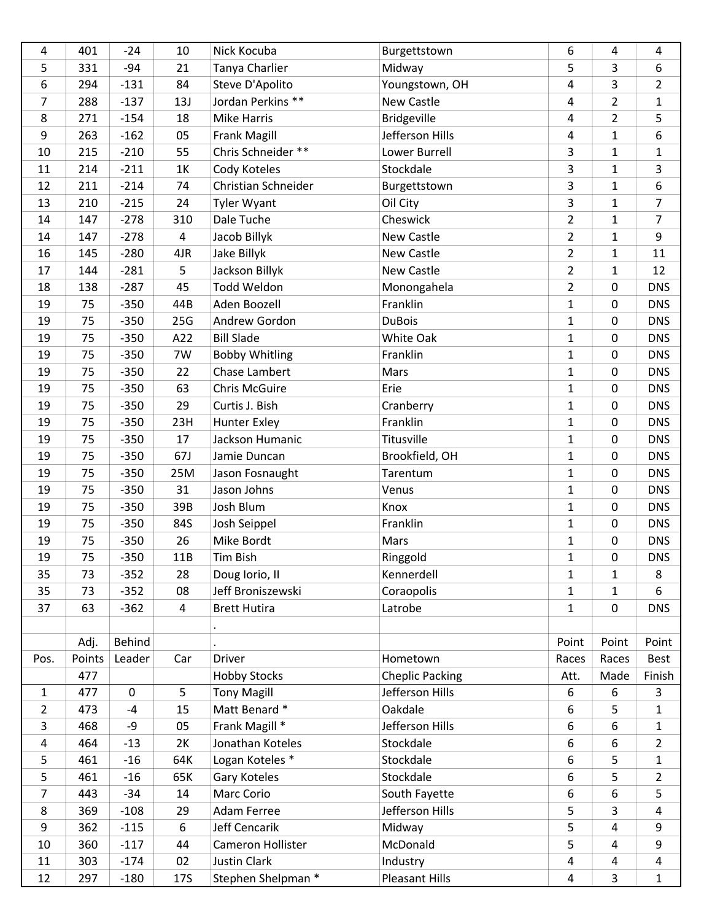| 4              | 401    | $-24$       | 10         | Nick Kocuba           | Burgettstown           | 6              | 4              | 4              |
|----------------|--------|-------------|------------|-----------------------|------------------------|----------------|----------------|----------------|
| 5              | 331    | $-94$       | 21         | Tanya Charlier        | Midway                 | 5              | 3              | 6              |
| 6              | 294    | $-131$      | 84         | Steve D'Apolito       | Youngstown, OH         | 4              | 3              | $\overline{2}$ |
| $\overline{7}$ | 288    | $-137$      | 13J        | Jordan Perkins **     | New Castle             | 4              | $\overline{2}$ | $\mathbf{1}$   |
| 8              | 271    | $-154$      | 18         | <b>Mike Harris</b>    | <b>Bridgeville</b>     | 4              | $\overline{2}$ | 5              |
| 9              | 263    | $-162$      | 05         | <b>Frank Magill</b>   | Jefferson Hills        | 4              | $\mathbf{1}$   | 6              |
| 10             | 215    | $-210$      | 55         | Chris Schneider **    | Lower Burrell          | 3              | $\mathbf{1}$   | $\mathbf 1$    |
| 11             | 214    | $-211$      | 1K         | Cody Koteles          | Stockdale              | 3              | $\mathbf{1}$   | 3              |
| 12             | 211    | $-214$      | 74         | Christian Schneider   | Burgettstown           | 3              | $\mathbf{1}$   | 6              |
| 13             | 210    | $-215$      | 24         | <b>Tyler Wyant</b>    | Oil City               | 3              | $\mathbf{1}$   | $\overline{7}$ |
| 14             | 147    | $-278$      | 310        | Dale Tuche            | Cheswick               | $\overline{2}$ | $\mathbf{1}$   | $\overline{7}$ |
| 14             | 147    | $-278$      | 4          | Jacob Billyk          | New Castle             | $\overline{2}$ | $\mathbf{1}$   | 9              |
| 16             | 145    | $-280$      | 4JR        | Jake Billyk           | New Castle             | $\overline{2}$ | $\mathbf{1}$   | 11             |
| 17             | 144    | $-281$      | 5          | Jackson Billyk        | New Castle             | $\overline{2}$ | $\mathbf{1}$   | 12             |
| 18             | 138    | $-287$      | 45         | Todd Weldon           | Monongahela            | $\overline{2}$ | 0              | <b>DNS</b>     |
| 19             | 75     | $-350$      | 44B        | Aden Boozell          | Franklin               | $\mathbf{1}$   | $\pmb{0}$      | <b>DNS</b>     |
| 19             | 75     | $-350$      | 25G        | Andrew Gordon         | <b>DuBois</b>          | $\mathbf{1}$   | 0              | <b>DNS</b>     |
| 19             | 75     | $-350$      | A22        | <b>Bill Slade</b>     | White Oak              | $\mathbf{1}$   | 0              | <b>DNS</b>     |
| 19             | 75     | $-350$      | 7W         | <b>Bobby Whitling</b> | Franklin               | $\mathbf{1}$   | 0              | <b>DNS</b>     |
| 19             | 75     | $-350$      | 22         | Chase Lambert         | Mars                   | $\mathbf{1}$   | 0              | <b>DNS</b>     |
| 19             | 75     | $-350$      | 63         | <b>Chris McGuire</b>  | Erie                   | $\mathbf{1}$   | 0              | <b>DNS</b>     |
| 19             | 75     | $-350$      | 29         | Curtis J. Bish        | Cranberry              | $\mathbf{1}$   | $\pmb{0}$      | <b>DNS</b>     |
| 19             | 75     | $-350$      | 23H        | <b>Hunter Exley</b>   | Franklin               | $\mathbf{1}$   | 0              | <b>DNS</b>     |
| 19             | 75     | $-350$      | 17         | Jackson Humanic       | Titusville             | $\mathbf{1}$   | 0              | <b>DNS</b>     |
|                |        |             |            |                       |                        |                |                |                |
| 19             | 75     | $-350$      | 67J        | Jamie Duncan          | Brookfield, OH         | $\mathbf{1}$   | 0              | <b>DNS</b>     |
| 19             | 75     | $-350$      | 25M        | Jason Fosnaught       | Tarentum               | $\mathbf{1}$   | 0              | <b>DNS</b>     |
| 19             | 75     | $-350$      | 31         | Jason Johns           | Venus                  | $\mathbf{1}$   | 0              | <b>DNS</b>     |
| 19             | 75     | $-350$      | 39B        | Josh Blum             | Knox                   | $\mathbf{1}$   | 0              | <b>DNS</b>     |
| 19             | 75     | $-350$      | 84S        | Josh Seippel          | Franklin               | $\mathbf 1$    | $\pmb{0}$      | <b>DNS</b>     |
| 19             | 75     | $-350$      | 26         | Mike Bordt            | Mars                   | $\mathbf{1}$   | 0              | <b>DNS</b>     |
| 19             | 75     | $-350$      | 11B        | <b>Tim Bish</b>       | Ringgold               | $\mathbf{1}$   | 0              | <b>DNS</b>     |
| 35             | 73     | $-352$      | 28         | Doug lorio, II        | Kennerdell             | 1              | 1              | 8              |
| 35             | 73     | $-352$      | 08         | Jeff Broniszewski     | Coraopolis             | $\mathbf{1}$   | $\mathbf{1}$   | 6              |
| 37             | 63     | $-362$      | 4          | <b>Brett Hutira</b>   | Latrobe                | $\mathbf{1}$   | 0              | <b>DNS</b>     |
|                |        |             |            |                       |                        |                |                |                |
|                | Adj.   | Behind      |            |                       |                        | Point          | Point          | Point          |
| Pos.           | Points | Leader      | Car        | <b>Driver</b>         | Hometown               | Races          | Races          | Best           |
|                | 477    |             |            | <b>Hobby Stocks</b>   | <b>Cheplic Packing</b> | Att.           | Made           | Finish         |
| $\mathbf{1}$   | 477    | $\mathbf 0$ | 5          | <b>Tony Magill</b>    | Jefferson Hills        | 6              | 6              | 3              |
| $\overline{2}$ | 473    | $-4$        | 15         | Matt Benard *         | Oakdale                | 6              | 5              | $\mathbf{1}$   |
| 3              | 468    | -9          | 05         | Frank Magill *        | Jefferson Hills        | 6              | 6              | $\mathbf{1}$   |
| $\overline{a}$ | 464    | $-13$       | 2K         | Jonathan Koteles      | Stockdale              | 6              | 6              | $\overline{2}$ |
| 5              | 461    | $-16$       | 64K        | Logan Koteles *       | Stockdale              | 6              | 5              | $\mathbf 1$    |
| 5              | 461    | $-16$       | 65K        | Gary Koteles          | Stockdale              | 6              | 5              | $\overline{2}$ |
| $\overline{7}$ | 443    | $-34$       | 14         | Marc Corio            | South Fayette          | 6              | 6              | 5              |
| 8              | 369    | $-108$      | 29         | Adam Ferree           | Jefferson Hills        | 5              | 3              | 4              |
| 9              | 362    | $-115$      | 6          | Jeff Cencarik         | Midway                 | 5              | 4              | 9              |
| 10             | 360    | $-117$      | 44         | Cameron Hollister     | McDonald               | 5              | 4              | 9              |
| 11             | 303    | $-174$      | 02         | <b>Justin Clark</b>   | Industry               | 4              | 4              | 4              |
| 12             | 297    | $-180$      | <b>17S</b> | Stephen Shelpman *    | Pleasant Hills         | 4              | 3              | $\mathbf 1$    |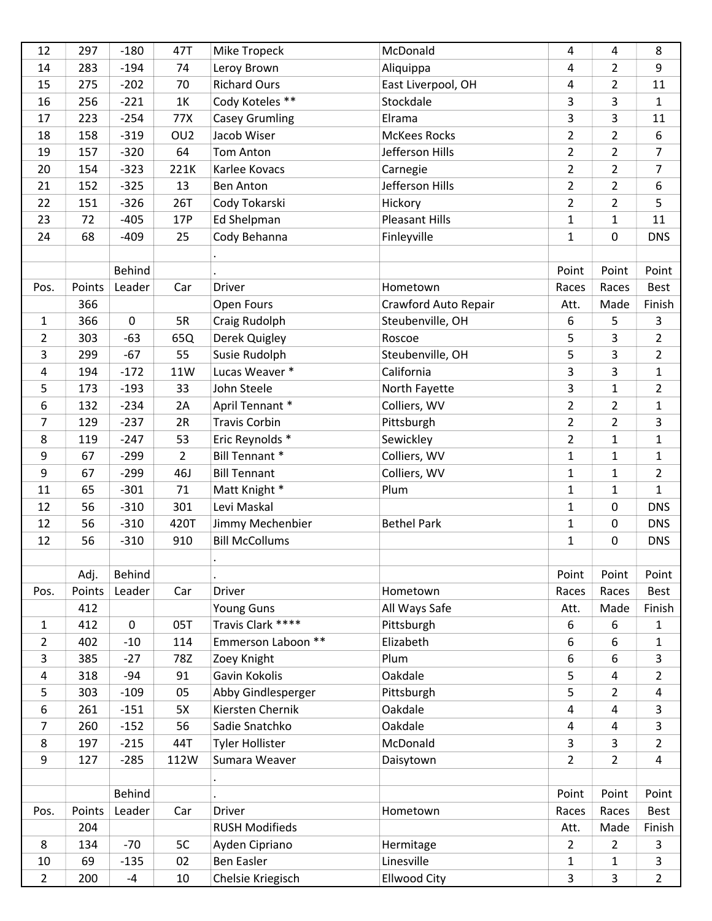| 12             | 297    | $-180$      | 47T             | Mike Tropeck           | McDonald              | 4              | 4              | 8              |
|----------------|--------|-------------|-----------------|------------------------|-----------------------|----------------|----------------|----------------|
| 14             | 283    | $-194$      | 74              | Leroy Brown            | Aliquippa             | 4              | $\overline{2}$ | 9              |
| 15             | 275    | $-202$      | 70              | <b>Richard Ours</b>    | East Liverpool, OH    | 4              | $\overline{2}$ | 11             |
| 16             | 256    | $-221$      | 1K              | Cody Koteles **        | Stockdale             | 3              | 3              | $\mathbf{1}$   |
| 17             | 223    | $-254$      | 77X             | <b>Casey Grumling</b>  | Elrama                | 3              | 3              | 11             |
| 18             | 158    | $-319$      | OU <sub>2</sub> | Jacob Wiser            | <b>McKees Rocks</b>   | $\overline{2}$ | $\overline{2}$ | 6              |
| 19             | 157    | $-320$      | 64              | <b>Tom Anton</b>       | Jefferson Hills       | $\overline{2}$ | $\overline{2}$ | $\overline{7}$ |
| 20             | 154    | $-323$      | 221K            | Karlee Kovacs          | Carnegie              | $\overline{2}$ | $\overline{2}$ | $\overline{7}$ |
| 21             | 152    | $-325$      | 13              | <b>Ben Anton</b>       | Jefferson Hills       | $\overline{2}$ | $\overline{2}$ | 6              |
| 22             | 151    | $-326$      | 26T             | Cody Tokarski          | Hickory               | $\overline{2}$ | $\overline{2}$ | 5              |
| 23             | 72     | $-405$      | 17P             | Ed Shelpman            | <b>Pleasant Hills</b> | $\mathbf{1}$   | 1              | 11             |
| 24             | 68     | $-409$      | 25              | Cody Behanna           | Finleyville           | $\mathbf 1$    | 0              | <b>DNS</b>     |
|                |        |             |                 |                        |                       |                |                |                |
|                |        | Behind      |                 |                        |                       | Point          | Point          | Point          |
| Pos.           | Points | Leader      | Car             | Driver                 | Hometown              | Races          | Races          | <b>Best</b>    |
|                | 366    |             |                 | Open Fours             | Crawford Auto Repair  | Att.           | Made           | Finish         |
| $\mathbf{1}$   | 366    | $\pmb{0}$   | 5R              | Craig Rudolph          | Steubenville, OH      | 6              | 5              | 3              |
| $\overline{2}$ | 303    | $-63$       | 65Q             | Derek Quigley          | Roscoe                | 5              | 3              | $\overline{2}$ |
| 3              | 299    | $-67$       | 55              | Susie Rudolph          | Steubenville, OH      | 5              | 3              | $\overline{2}$ |
| 4              | 194    | $-172$      | 11W             | Lucas Weaver *         | California            | 3              | 3              | $\mathbf{1}$   |
| 5              | 173    | $-193$      | 33              | John Steele            | North Fayette         | 3              | $\mathbf{1}$   | $\overline{2}$ |
| 6              | 132    | $-234$      | 2A              | April Tennant *        | Colliers, WV          | $\overline{2}$ | $\overline{2}$ | $\mathbf{1}$   |
| 7              | 129    | $-237$      | 2R              | <b>Travis Corbin</b>   | Pittsburgh            | $\overline{2}$ | $\overline{2}$ | 3              |
| 8              | 119    | $-247$      | 53              | Eric Reynolds *        | Sewickley             | $\overline{2}$ | $\mathbf{1}$   | $\mathbf{1}$   |
| 9              | 67     | $-299$      | $\overline{2}$  | <b>Bill Tennant *</b>  | Colliers, WV          | $\mathbf{1}$   | 1              | $\mathbf{1}$   |
| 9              | 67     | $-299$      | 46J             | <b>Bill Tennant</b>    | Colliers, WV          | $\mathbf 1$    | $\mathbf{1}$   | $\overline{2}$ |
| 11             | 65     | $-301$      | 71              | Matt Knight *          | Plum                  | $\mathbf{1}$   | $\mathbf{1}$   | $\mathbf{1}$   |
| 12             | 56     | $-310$      | 301             | Levi Maskal            |                       | $\mathbf{1}$   | 0              | <b>DNS</b>     |
| 12             | 56     | $-310$      | 420T            | Jimmy Mechenbier       | <b>Bethel Park</b>    | 1              | 0              | <b>DNS</b>     |
| 12             | 56     | $-310$      | 910             | <b>Bill McCollums</b>  |                       | $\mathbf{1}$   | 0              | <b>DNS</b>     |
|                |        |             |                 |                        |                       |                |                |                |
|                | Adj.   | Behind      |                 |                        |                       | Point          | Point          | Point          |
| Pos.           | Points | Leader      | Car             | Driver                 | Hometown              | Races          | Races          | Best           |
|                | 412    |             |                 | Young Guns             | All Ways Safe         | Att.           | Made           | Finish         |
| $\mathbf{1}$   | 412    | $\mathbf 0$ | 05T             | Travis Clark ****      | Pittsburgh            | 6              | 6              | $\mathbf{1}$   |
| $\overline{2}$ | 402    | $-10$       | 114             | Emmerson Laboon **     | Elizabeth             | 6              | 6              | $\mathbf{1}$   |
| 3              | 385    | $-27$       | 78Z             | Zoey Knight            | Plum                  | 6              | 6              | 3              |
| $\overline{a}$ | 318    | $-94$       | 91              | Gavin Kokolis          | Oakdale               | 5              | 4              | $\overline{2}$ |
| 5              | 303    | $-109$      | 05              | Abby Gindlesperger     | Pittsburgh            | 5              | $\overline{2}$ | 4              |
| 6              | 261    | $-151$      | 5X              | Kiersten Chernik       | Oakdale               | 4              | 4              | 3              |
| $\overline{7}$ | 260    | $-152$      | 56              | Sadie Snatchko         | Oakdale               | 4              | 4              | 3              |
| 8              | 197    | $-215$      | 44T             | <b>Tyler Hollister</b> | McDonald              | 3              | 3              | $\overline{2}$ |
| 9              | 127    | $-285$      | 112W            | Sumara Weaver          | Daisytown             | $\overline{2}$ | $\overline{2}$ | 4              |
|                |        |             |                 |                        |                       |                |                |                |
|                |        | Behind      |                 |                        |                       | Point          | Point          | Point          |
| Pos.           | Points | Leader      | Car             | Driver                 | Hometown              | Races          | Races          | Best           |
|                | 204    |             |                 | <b>RUSH Modifieds</b>  |                       | Att.           | Made           | Finish         |
| 8              | 134    | $-70$       | 5C              | Ayden Cipriano         | Hermitage             | $\overline{2}$ | $\overline{2}$ | 3              |
| 10             | 69     | $-135$      | 02              | <b>Ben Easler</b>      | Linesville            | $\mathbf{1}$   | $\mathbf{1}$   | 3              |
| $\overline{2}$ | 200    | $-4$        | 10              | Chelsie Kriegisch      | <b>Ellwood City</b>   | 3              | 3              | $\overline{2}$ |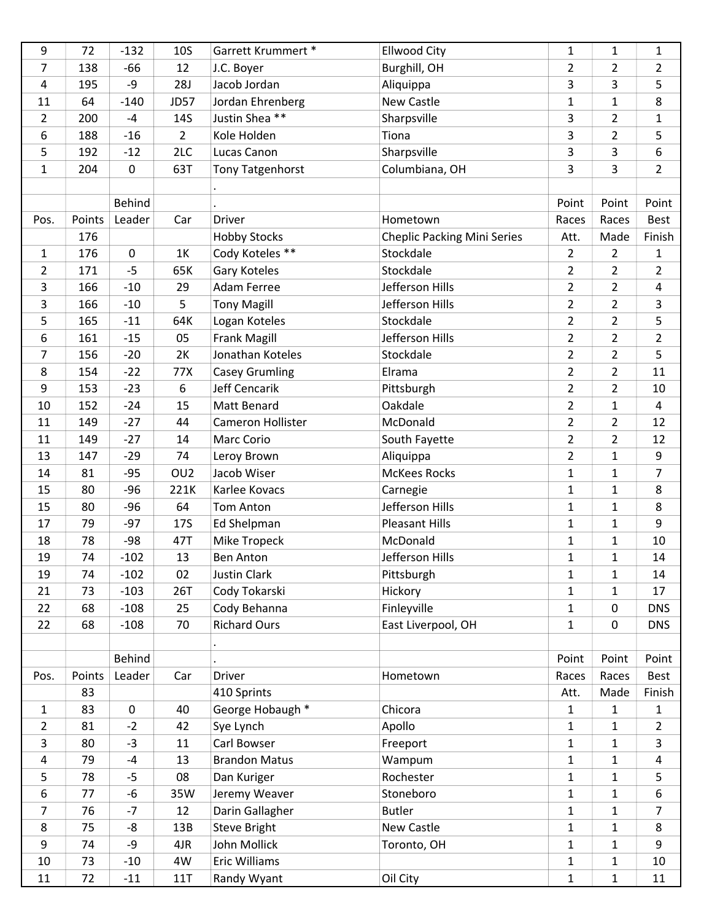| 9              | 72     | $-132$        | 10S             | Garrett Krummert *    | <b>Ellwood City</b>                | 1              | 1              | 1                       |
|----------------|--------|---------------|-----------------|-----------------------|------------------------------------|----------------|----------------|-------------------------|
| 7              | 138    | $-66$         | 12              | J.C. Boyer            | Burghill, OH                       | 2              | $\overline{2}$ | $\overline{2}$          |
| 4              | 195    | -9            | <b>28J</b>      | Jacob Jordan          | Aliquippa                          | 3              | 3              | 5                       |
| 11             | 64     | $-140$        | <b>JD57</b>     | Jordan Ehrenberg      | New Castle                         | $\mathbf{1}$   | $\mathbf{1}$   | 8                       |
| 2              | 200    | $-4$          | 14S             | Justin Shea **        | Sharpsville                        | 3              | $\overline{2}$ | $\mathbf{1}$            |
| 6              | 188    | $-16$         | $\overline{2}$  | Kole Holden           | Tiona                              | 3              | $\overline{2}$ | 5                       |
| 5              | 192    | $-12$         | 2LC             | Lucas Canon           | Sharpsville                        | 3              | 3              | 6                       |
| $\mathbf{1}$   | 204    | 0             | 63T             | Tony Tatgenhorst      | Columbiana, OH                     | 3              | 3              | $\overline{2}$          |
|                |        |               |                 |                       |                                    |                |                |                         |
|                |        | <b>Behind</b> |                 |                       |                                    | Point          | Point          | Point                   |
| Pos.           | Points | Leader        | Car             | Driver                | Hometown                           | Races          | Races          | <b>Best</b>             |
|                | 176    |               |                 | <b>Hobby Stocks</b>   | <b>Cheplic Packing Mini Series</b> | Att.           | Made           | Finish                  |
| 1              | 176    | $\mathbf 0$   | 1K              | Cody Koteles **       | Stockdale                          | $\overline{2}$ | $\overline{2}$ | 1                       |
| $\overline{2}$ | 171    | $-5$          | 65K             | Gary Koteles          | Stockdale                          | $\overline{2}$ | $\overline{2}$ | $\overline{2}$          |
| 3              | 166    | $-10$         | 29              | Adam Ferree           | Jefferson Hills                    | $\overline{2}$ | $\overline{2}$ | 4                       |
| 3              | 166    | $-10$         | 5               | <b>Tony Magill</b>    | Jefferson Hills                    | $\overline{2}$ | $\overline{2}$ | 3                       |
| 5              | 165    | $-11$         | 64K             | Logan Koteles         | Stockdale                          | $\overline{2}$ | $\overline{2}$ | 5                       |
| 6              | 161    | $-15$         | 05              | <b>Frank Magill</b>   | Jefferson Hills                    | $\overline{2}$ | $\overline{2}$ | $\overline{2}$          |
| 7              | 156    | $-20$         | 2K              | Jonathan Koteles      | Stockdale                          | $\overline{2}$ | $\overline{2}$ | 5                       |
| 8              | 154    | $-22$         | 77X             | <b>Casey Grumling</b> | Elrama                             | $\overline{2}$ | $\overline{2}$ | 11                      |
| 9              | 153    | $-23$         | 6               | Jeff Cencarik         | Pittsburgh                         | $\overline{2}$ | $\overline{2}$ | 10                      |
| 10             | 152    | $-24$         | 15              | Matt Benard           | Oakdale                            | $\overline{2}$ | $\mathbf{1}$   | 4                       |
| 11             | 149    | $-27$         | 44              | Cameron Hollister     | McDonald                           | $\overline{2}$ | $\overline{2}$ | 12                      |
| 11             | 149    | $-27$         | 14              | Marc Corio            | South Fayette                      | $\overline{2}$ | $\overline{2}$ | 12                      |
| 13             | 147    | $-29$         | 74              | Leroy Brown           | Aliquippa                          | $\overline{2}$ | 1              | 9                       |
| 14             | 81     | $-95$         | OU <sub>2</sub> | Jacob Wiser           | <b>McKees Rocks</b>                | $\mathbf{1}$   | $\mathbf{1}$   | $\overline{7}$          |
| 15             | 80     | $-96$         | 221K            | Karlee Kovacs         | Carnegie                           | $\mathbf{1}$   | 1              | 8                       |
| 15             | 80     | $-96$         | 64              | <b>Tom Anton</b>      | Jefferson Hills                    | 1              | 1              | 8                       |
| 17             | 79     | $-97$         | <b>17S</b>      | Ed Shelpman           | <b>Pleasant Hills</b>              | $\mathbf{1}$   | 1              | 9                       |
| 18             | 78     | $-98$         | 47T             | Mike Tropeck          | McDonald                           | $\mathbf{1}$   | $\mathbf{1}$   | 10                      |
| 19             | 74     | $-102$        | 13              | <b>Ben Anton</b>      | Jefferson Hills                    | $\mathbf{1}$   | $\mathbf{1}$   | 14                      |
| 19             | 74     | $-102$        | 02              | <b>Justin Clark</b>   | Pittsburgh                         | 1              | 1              | 14                      |
| 21             | 73     | $-103$        | 26T             | Cody Tokarski         | Hickory                            | $\mathbf{1}$   | $\mathbf{1}$   | 17                      |
| 22             | 68     | $-108$        | 25              | Cody Behanna          | Finleyville                        | $\mathbf 1$    | 0              | <b>DNS</b>              |
| 22             | 68     | $-108$        | 70              | <b>Richard Ours</b>   | East Liverpool, OH                 | $\mathbf{1}$   | 0              | <b>DNS</b>              |
|                |        |               |                 |                       |                                    |                |                |                         |
|                |        | <b>Behind</b> |                 |                       |                                    | Point          | Point          | Point                   |
| Pos.           | Points | Leader        | Car             | <b>Driver</b>         | Hometown                           | Races          | Races          | Best                    |
|                | 83     |               |                 | 410 Sprints           |                                    | Att.           | Made           | Finish                  |
| $\mathbf{1}$   | 83     | $\mathbf 0$   | 40              | George Hobaugh *      | Chicora                            | 1              | $\mathbf{1}$   | $\mathbf{1}$            |
| $\overline{2}$ | 81     | $-2$          | 42              | Sye Lynch             | Apollo                             | 1              | 1              | $\overline{2}$          |
| 3              | 80     | $-3$          | 11              | Carl Bowser           | Freeport                           | $\mathbf{1}$   | $\mathbf{1}$   | 3                       |
| $\overline{a}$ | 79     | $-4$          | 13              | <b>Brandon Matus</b>  | Wampum                             | $\mathbf{1}$   | $\mathbf{1}$   | $\overline{\mathbf{4}}$ |
| 5              | 78     | $-5$          | 08              | Dan Kuriger           | Rochester                          | $\mathbf{1}$   | 1              | 5                       |
| 6              | 77     | $-6$          | 35W             | Jeremy Weaver         | Stoneboro                          | $\mathbf 1$    | $\mathbf{1}$   | 6                       |
| 7              | 76     | $-7$          | 12              | Darin Gallagher       | <b>Butler</b>                      | $\mathbf{1}$   | 1              | $\overline{7}$          |
| 8              | 75     | -8            | 13B             | <b>Steve Bright</b>   | New Castle                         | 1              | 1              | 8                       |
| 9              | 74     | -9            | 4JR             | John Mollick          | Toronto, OH                        | $\mathbf{1}$   | $\mathbf{1}$   | 9                       |
| 10             | 73     | $-10$         | 4W              | Eric Williams         |                                    | $\mathbf{1}$   | $\mathbf{1}$   | 10                      |
| 11             | 72     | $-11$         | 11T             | Randy Wyant           | Oil City                           | $\mathbf 1$    | $\mathbf{1}$   | 11                      |